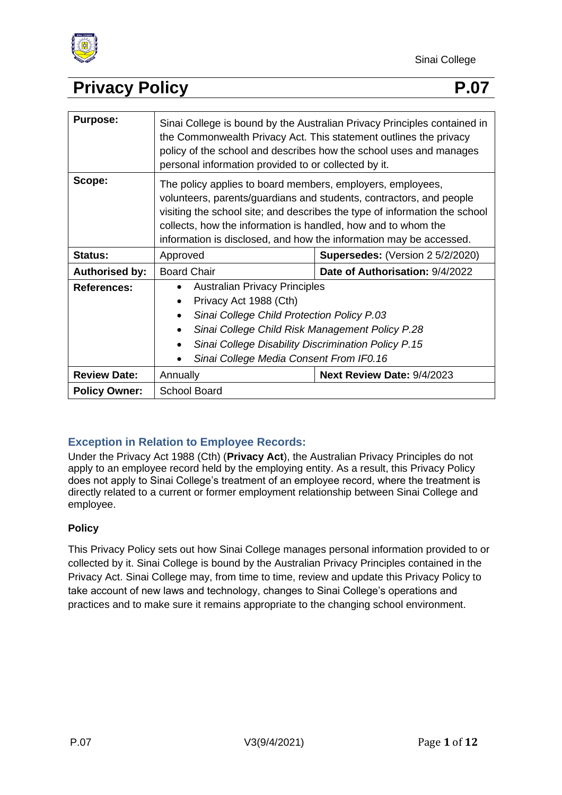

| <b>Purpose:</b>       | Sinai College is bound by the Australian Privacy Principles contained in<br>the Commonwealth Privacy Act. This statement outlines the privacy<br>policy of the school and describes how the school uses and manages<br>personal information provided to or collected by it.                                                                            |                                         |
|-----------------------|--------------------------------------------------------------------------------------------------------------------------------------------------------------------------------------------------------------------------------------------------------------------------------------------------------------------------------------------------------|-----------------------------------------|
| Scope:                | The policy applies to board members, employers, employees,<br>volunteers, parents/guardians and students, contractors, and people<br>visiting the school site; and describes the type of information the school<br>collects, how the information is handled, how and to whom the<br>information is disclosed, and how the information may be accessed. |                                         |
| <b>Status:</b>        | Approved                                                                                                                                                                                                                                                                                                                                               | <b>Supersedes: (Version 2 5/2/2020)</b> |
| <b>Authorised by:</b> | <b>Board Chair</b>                                                                                                                                                                                                                                                                                                                                     | Date of Authorisation: 9/4/2022         |
| <b>References:</b>    | <b>Australian Privacy Principles</b><br>$\bullet$<br>Privacy Act 1988 (Cth)<br>$\bullet$<br>Sinai College Child Protection Policy P.03<br>$\bullet$<br>Sinai College Child Risk Management Policy P.28<br>Sinai College Disability Discrimination Policy P.15<br>Sinai College Media Consent From IF0.16                                               |                                         |
| <b>Review Date:</b>   | Annually                                                                                                                                                                                                                                                                                                                                               | Next Review Date: 9/4/2023              |
| <b>Policy Owner:</b>  | <b>School Board</b>                                                                                                                                                                                                                                                                                                                                    |                                         |

### **Exception in Relation to Employee Records:**

Under the Privacy Act 1988 (Cth) (**Privacy Act**), the Australian Privacy Principles do not apply to an employee record held by the employing entity. As a result, this Privacy Policy does not apply to Sinai College's treatment of an employee record, where the treatment is directly related to a current or former employment relationship between Sinai College and employee.

#### **Policy**

This Privacy Policy sets out how Sinai College manages personal information provided to or collected by it. Sinai College is bound by the Australian Privacy Principles contained in the Privacy Act. Sinai College may, from time to time, review and update this Privacy Policy to take account of new laws and technology, changes to Sinai College's operations and practices and to make sure it remains appropriate to the changing school environment.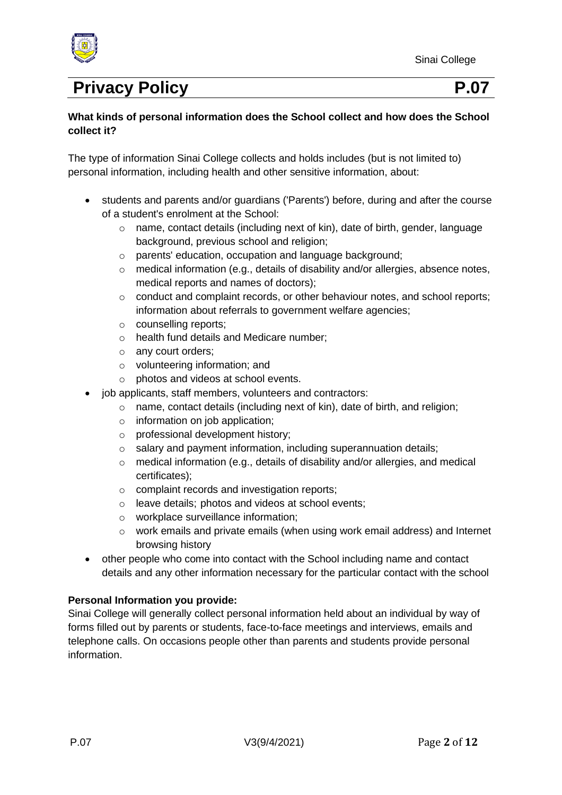

#### **What kinds of personal information does the School collect and how does the School collect it?**

The type of information Sinai College collects and holds includes (but is not limited to) personal information, including health and other sensitive information, about:

- students and parents and/or guardians ('Parents') before, during and after the course of a student's enrolment at the School:
	- o name, contact details (including next of kin), date of birth, gender, language background, previous school and religion;
	- o parents' education, occupation and language background;
	- o medical information (e.g., details of disability and/or allergies, absence notes, medical reports and names of doctors);
	- $\circ$  conduct and complaint records, or other behaviour notes, and school reports; information about referrals to government welfare agencies;
	- o counselling reports;
	- o health fund details and Medicare number;
	- o any court orders;
	- o volunteering information; and
	- o photos and videos at school events.
- job applicants, staff members, volunteers and contractors:
	- o name, contact details (including next of kin), date of birth, and religion;
	- $\circ$  information on job application;
	- o professional development history;
	- o salary and payment information, including superannuation details;
	- $\circ$  medical information (e.g., details of disability and/or allergies, and medical certificates);
	- o complaint records and investigation reports;
	- o leave details; photos and videos at school events;
	- o workplace surveillance information;
	- o work emails and private emails (when using work email address) and Internet browsing history
- other people who come into contact with the School including name and contact details and any other information necessary for the particular contact with the school

#### **Personal Information you provide:**

Sinai College will generally collect personal information held about an individual by way of forms filled out by parents or students, face-to-face meetings and interviews, emails and telephone calls. On occasions people other than parents and students provide personal information.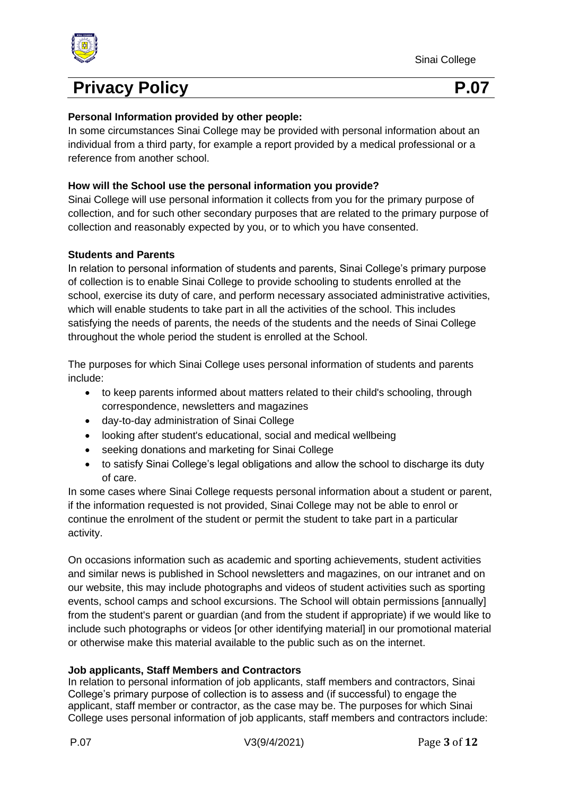

#### **Personal Information provided by other people:**

In some circumstances Sinai College may be provided with personal information about an individual from a third party, for example a report provided by a medical professional or a reference from another school.

#### **How will the School use the personal information you provide?**

Sinai College will use personal information it collects from you for the primary purpose of collection, and for such other secondary purposes that are related to the primary purpose of collection and reasonably expected by you, or to which you have consented.

#### **Students and Parents**

In relation to personal information of students and parents, Sinai College's primary purpose of collection is to enable Sinai College to provide schooling to students enrolled at the school, exercise its duty of care, and perform necessary associated administrative activities, which will enable students to take part in all the activities of the school. This includes satisfying the needs of parents, the needs of the students and the needs of Sinai College throughout the whole period the student is enrolled at the School.

The purposes for which Sinai College uses personal information of students and parents include:

- to keep parents informed about matters related to their child's schooling, through correspondence, newsletters and magazines
- day-to-day administration of Sinai College
- looking after student's educational, social and medical wellbeing
- seeking donations and marketing for Sinai College
- to satisfy Sinai College's legal obligations and allow the school to discharge its duty of care.

In some cases where Sinai College requests personal information about a student or parent, if the information requested is not provided, Sinai College may not be able to enrol or continue the enrolment of the student or permit the student to take part in a particular activity.

On occasions information such as academic and sporting achievements, student activities and similar news is published in School newsletters and magazines, on our intranet and on our website, this may include photographs and videos of student activities such as sporting events, school camps and school excursions. The School will obtain permissions [annually] from the student's parent or guardian (and from the student if appropriate) if we would like to include such photographs or videos [or other identifying material] in our promotional material or otherwise make this material available to the public such as on the internet.

#### **Job applicants, Staff Members and Contractors**

In relation to personal information of job applicants, staff members and contractors, Sinai College's primary purpose of collection is to assess and (if successful) to engage the applicant, staff member or contractor, as the case may be. The purposes for which Sinai College uses personal information of job applicants, staff members and contractors include: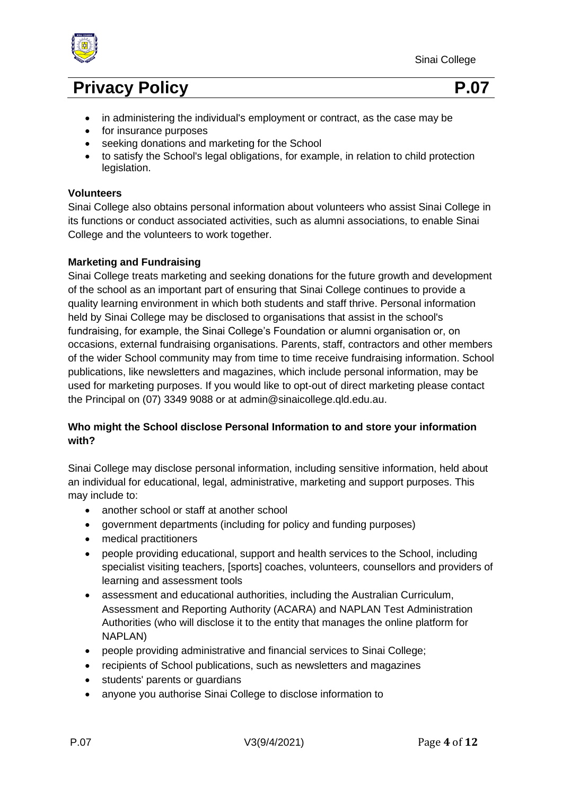



- in administering the individual's employment or contract, as the case may be
- for insurance purposes
- seeking donations and marketing for the School
- to satisfy the School's legal obligations, for example, in relation to child protection legislation.

#### **Volunteers**

Sinai College also obtains personal information about volunteers who assist Sinai College in its functions or conduct associated activities, such as alumni associations, to enable Sinai College and the volunteers to work together.

#### **Marketing and Fundraising**

Sinai College treats marketing and seeking donations for the future growth and development of the school as an important part of ensuring that Sinai College continues to provide a quality learning environment in which both students and staff thrive. Personal information held by Sinai College may be disclosed to organisations that assist in the school's fundraising, for example, the Sinai College's Foundation or alumni organisation or, on occasions, external fundraising organisations. Parents, staff, contractors and other members of the wider School community may from time to time receive fundraising information. School publications, like newsletters and magazines, which include personal information, may be used for marketing purposes. If you would like to opt-out of direct marketing please contact the Principal on (07) 3349 9088 or at admin@sinaicollege.qld.edu.au.

#### **Who might the School disclose Personal Information to and store your information with?**

Sinai College may disclose personal information, including sensitive information, held about an individual for educational, legal, administrative, marketing and support purposes. This may include to:

- another school or staff at another school
- government departments (including for policy and funding purposes)
- medical practitioners
- people providing educational, support and health services to the School, including specialist visiting teachers, [sports] coaches, volunteers, counsellors and providers of learning and assessment tools
- assessment and educational authorities, including the Australian Curriculum, Assessment and Reporting Authority (ACARA) and NAPLAN Test Administration Authorities (who will disclose it to the entity that manages the online platform for NAPLAN)
- people providing administrative and financial services to Sinai College;
- recipients of School publications, such as newsletters and magazines
- students' parents or guardians
- anyone you authorise Sinai College to disclose information to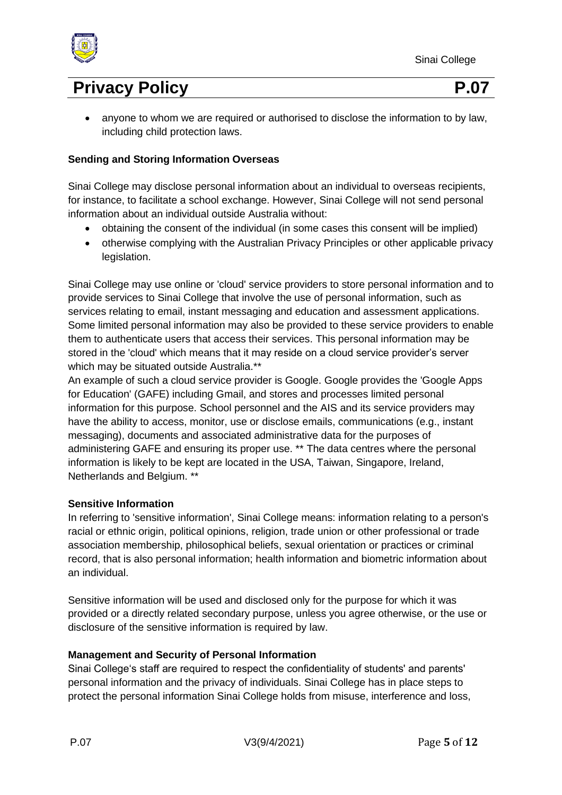



• anyone to whom we are required or authorised to disclose the information to by law, including child protection laws.

#### **Sending and Storing Information Overseas**

Sinai College may disclose personal information about an individual to overseas recipients, for instance, to facilitate a school exchange. However, Sinai College will not send personal information about an individual outside Australia without:

- obtaining the consent of the individual (in some cases this consent will be implied)
- otherwise complying with the Australian Privacy Principles or other applicable privacy legislation.

Sinai College may use online or 'cloud' service providers to store personal information and to provide services to Sinai College that involve the use of personal information, such as services relating to email, instant messaging and education and assessment applications. Some limited personal information may also be provided to these service providers to enable them to authenticate users that access their services. This personal information may be stored in the 'cloud' which means that it may reside on a cloud service provider's server which may be situated outside Australia.\*\*

An example of such a cloud service provider is Google. Google provides the 'Google Apps for Education' (GAFE) including Gmail, and stores and processes limited personal information for this purpose. School personnel and the AIS and its service providers may have the ability to access, monitor, use or disclose emails, communications (e.g., instant messaging), documents and associated administrative data for the purposes of administering GAFE and ensuring its proper use. \*\* The data centres where the personal information is likely to be kept are located in the USA, Taiwan, Singapore, Ireland, Netherlands and Belgium. \*\*

#### **Sensitive Information**

In referring to 'sensitive information', Sinai College means: information relating to a person's racial or ethnic origin, political opinions, religion, trade union or other professional or trade association membership, philosophical beliefs, sexual orientation or practices or criminal record, that is also personal information; health information and biometric information about an individual.

Sensitive information will be used and disclosed only for the purpose for which it was provided or a directly related secondary purpose, unless you agree otherwise, or the use or disclosure of the sensitive information is required by law.

#### **Management and Security of Personal Information**

Sinai College's staff are required to respect the confidentiality of students' and parents' personal information and the privacy of individuals. Sinai College has in place steps to protect the personal information Sinai College holds from misuse, interference and loss,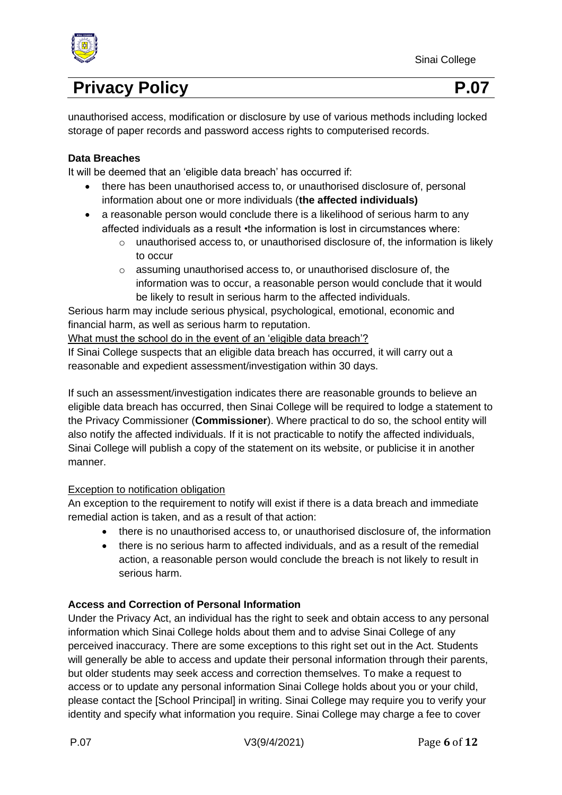

unauthorised access, modification or disclosure by use of various methods including locked storage of paper records and password access rights to computerised records.

#### **Data Breaches**

It will be deemed that an 'eligible data breach' has occurred if:

- there has been unauthorised access to, or unauthorised disclosure of, personal information about one or more individuals (**the affected individuals)**
- a reasonable person would conclude there is a likelihood of serious harm to any affected individuals as a result •the information is lost in circumstances where:
	- o unauthorised access to, or unauthorised disclosure of, the information is likely to occur
	- o assuming unauthorised access to, or unauthorised disclosure of, the information was to occur, a reasonable person would conclude that it would be likely to result in serious harm to the affected individuals.

Serious harm may include serious physical, psychological, emotional, economic and financial harm, as well as serious harm to reputation.

What must the school do in the event of an 'eligible data breach'?

If Sinai College suspects that an eligible data breach has occurred, it will carry out a reasonable and expedient assessment/investigation within 30 days.

If such an assessment/investigation indicates there are reasonable grounds to believe an eligible data breach has occurred, then Sinai College will be required to lodge a statement to the Privacy Commissioner (**Commissioner**). Where practical to do so, the school entity will also notify the affected individuals. If it is not practicable to notify the affected individuals, Sinai College will publish a copy of the statement on its website, or publicise it in another manner.

#### Exception to notification obligation

An exception to the requirement to notify will exist if there is a data breach and immediate remedial action is taken, and as a result of that action:

- there is no unauthorised access to, or unauthorised disclosure of, the information
- there is no serious harm to affected individuals, and as a result of the remedial action, a reasonable person would conclude the breach is not likely to result in serious harm.

#### **Access and Correction of Personal Information**

Under the Privacy Act, an individual has the right to seek and obtain access to any personal information which Sinai College holds about them and to advise Sinai College of any perceived inaccuracy. There are some exceptions to this right set out in the Act. Students will generally be able to access and update their personal information through their parents, but older students may seek access and correction themselves. To make a request to access or to update any personal information Sinai College holds about you or your child, please contact the [School Principal] in writing. Sinai College may require you to verify your identity and specify what information you require. Sinai College may charge a fee to cover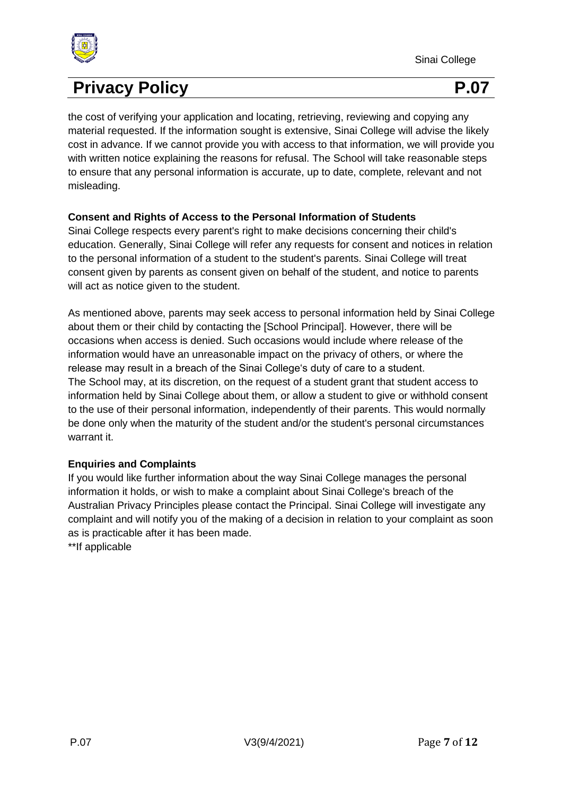

the cost of verifying your application and locating, retrieving, reviewing and copying any material requested. If the information sought is extensive, Sinai College will advise the likely cost in advance. If we cannot provide you with access to that information, we will provide you with written notice explaining the reasons for refusal. The School will take reasonable steps to ensure that any personal information is accurate, up to date, complete, relevant and not misleading.

#### **Consent and Rights of Access to the Personal Information of Students**

Sinai College respects every parent's right to make decisions concerning their child's education. Generally, Sinai College will refer any requests for consent and notices in relation to the personal information of a student to the student's parents. Sinai College will treat consent given by parents as consent given on behalf of the student, and notice to parents will act as notice given to the student.

As mentioned above, parents may seek access to personal information held by Sinai College about them or their child by contacting the [School Principal]. However, there will be occasions when access is denied. Such occasions would include where release of the information would have an unreasonable impact on the privacy of others, or where the release may result in a breach of the Sinai College's duty of care to a student. The School may, at its discretion, on the request of a student grant that student access to information held by Sinai College about them, or allow a student to give or withhold consent to the use of their personal information, independently of their parents. This would normally be done only when the maturity of the student and/or the student's personal circumstances warrant it.

#### **Enquiries and Complaints**

If you would like further information about the way Sinai College manages the personal information it holds, or wish to make a complaint about Sinai College's breach of the Australian Privacy Principles please contact the Principal. Sinai College will investigate any complaint and will notify you of the making of a decision in relation to your complaint as soon as is practicable after it has been made.

\*\*If applicable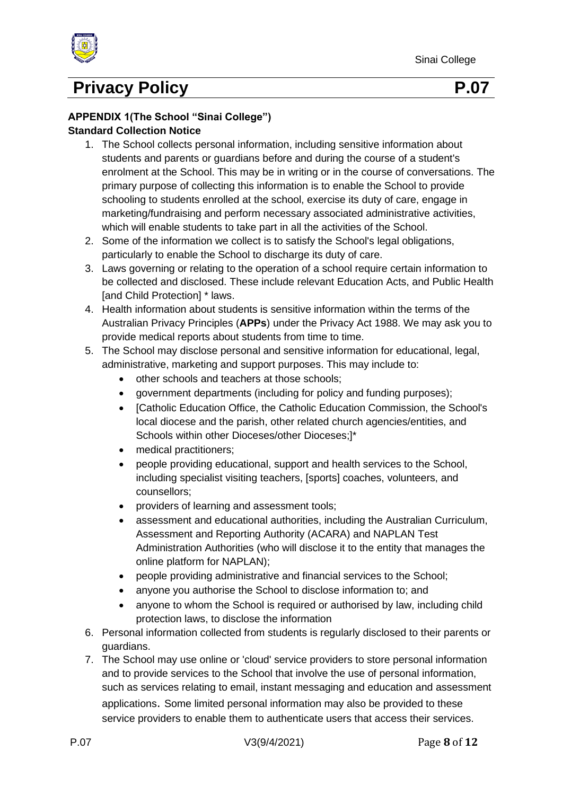

#### **APPENDIX 1(The School "Sinai College") Standard Collection Notice**

- 1. The School collects personal information, including sensitive information about students and parents or guardians before and during the course of a student's enrolment at the School. This may be in writing or in the course of conversations. The primary purpose of collecting this information is to enable the School to provide schooling to students enrolled at the school, exercise its duty of care, engage in marketing/fundraising and perform necessary associated administrative activities, which will enable students to take part in all the activities of the School.
- 2. Some of the information we collect is to satisfy the School's legal obligations, particularly to enable the School to discharge its duty of care.
- 3. Laws governing or relating to the operation of a school require certain information to be collected and disclosed. These include relevant Education Acts, and Public Health [and Child Protection] \* laws.
- 4. Health information about students is sensitive information within the terms of the Australian Privacy Principles (**APPs**) under the Privacy Act 1988. We may ask you to provide medical reports about students from time to time.
- 5. The School may disclose personal and sensitive information for educational, legal, administrative, marketing and support purposes. This may include to:
	- other schools and teachers at those schools;
	- government departments (including for policy and funding purposes);
	- [Catholic Education Office, the Catholic Education Commission, the School's local diocese and the parish, other related church agencies/entities, and Schools within other Dioceses/other Dioceses;]\*
	- medical practitioners;
	- people providing educational, support and health services to the School, including specialist visiting teachers, [sports] coaches, volunteers, and counsellors;
	- providers of learning and assessment tools;
	- assessment and educational authorities, including the Australian Curriculum, Assessment and Reporting Authority (ACARA) and NAPLAN Test Administration Authorities (who will disclose it to the entity that manages the online platform for NAPLAN);
	- people providing administrative and financial services to the School;
	- anyone you authorise the School to disclose information to; and
	- anyone to whom the School is required or authorised by law, including child protection laws, to disclose the information
- 6. Personal information collected from students is regularly disclosed to their parents or guardians.
- 7. The School may use online or 'cloud' service providers to store personal information and to provide services to the School that involve the use of personal information, such as services relating to email, instant messaging and education and assessment applications. Some limited personal information may also be provided to these service providers to enable them to authenticate users that access their services.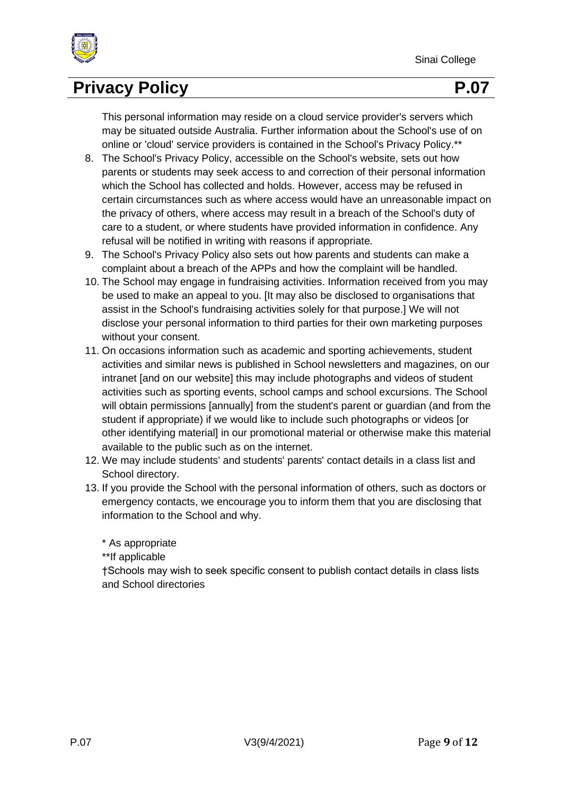

This personal information may reside on a cloud service provider's servers which may be situated outside Australia. Further information about the School's use of on online or 'cloud' service providers is contained in the School's Privacy Policy.\*\*

- 8. The School's Privacy Policy, accessible on the School's website, sets out how parents or students may seek access to and correction of their personal information which the School has collected and holds. However, access may be refused in certain circumstances such as where access would have an unreasonable impact on the privacy of others, where access may result in a breach of the School's duty of care to a student, or where students have provided information in confidence. Any refusal will be notified in writing with reasons if appropriate.
- 9. The School's Privacy Policy also sets out how parents and students can make a complaint about a breach of the APPs and how the complaint will be handled.
- 10. The School may engage in fundraising activities. Information received from you may be used to make an appeal to you. [It may also be disclosed to organisations that assist in the School's fundraising activities solely for that purpose.] We will not disclose your personal information to third parties for their own marketing purposes without your consent.
- 11. On occasions information such as academic and sporting achievements, student activities and similar news is published in School newsletters and magazines, on our intranet [and on our website] this may include photographs and videos of student activities such as sporting events, school camps and school excursions. The School will obtain permissions [annually] from the student's parent or guardian (and from the student if appropriate) if we would like to include such photographs or videos [or other identifying material] in our promotional material or otherwise make this material available to the public such as on the internet.
- 12. We may include students' and students' parents' contact details in a class list and School directory.
- 13. If you provide the School with the personal information of others, such as doctors or emergency contacts, we encourage you to inform them that you are disclosing that information to the School and why.
	- \* As appropriate

\*\*If applicable

†Schools may wish to seek specific consent to publish contact details in class lists and School directories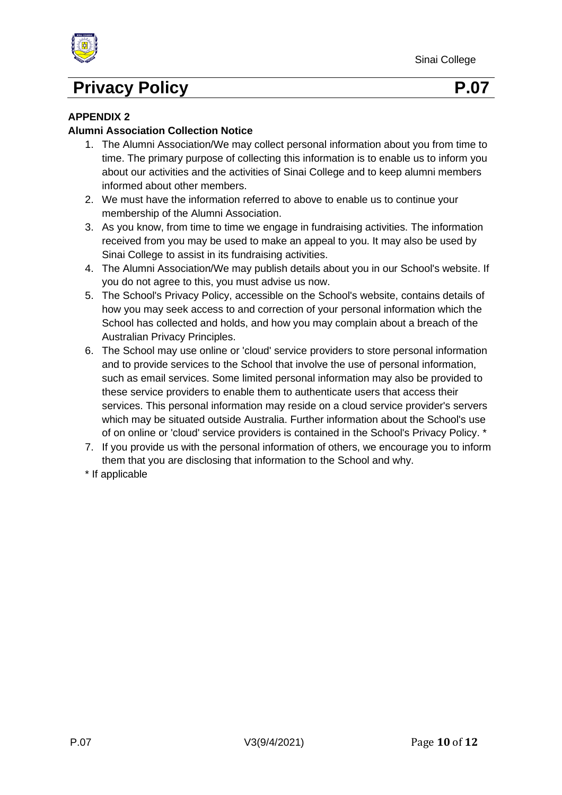

#### **APPENDIX 2**

#### **Alumni Association Collection Notice**

- 1. The Alumni Association/We may collect personal information about you from time to time. The primary purpose of collecting this information is to enable us to inform you about our activities and the activities of Sinai College and to keep alumni members informed about other members.
- 2. We must have the information referred to above to enable us to continue your membership of the Alumni Association.
- 3. As you know, from time to time we engage in fundraising activities. The information received from you may be used to make an appeal to you. It may also be used by Sinai College to assist in its fundraising activities.
- 4. The Alumni Association/We may publish details about you in our School's website. If you do not agree to this, you must advise us now.
- 5. The School's Privacy Policy, accessible on the School's website, contains details of how you may seek access to and correction of your personal information which the School has collected and holds, and how you may complain about a breach of the Australian Privacy Principles.
- 6. The School may use online or 'cloud' service providers to store personal information and to provide services to the School that involve the use of personal information, such as email services. Some limited personal information may also be provided to these service providers to enable them to authenticate users that access their services. This personal information may reside on a cloud service provider's servers which may be situated outside Australia. Further information about the School's use of on online or 'cloud' service providers is contained in the School's Privacy Policy. \*
- 7. If you provide us with the personal information of others, we encourage you to inform them that you are disclosing that information to the School and why.
- \* If applicable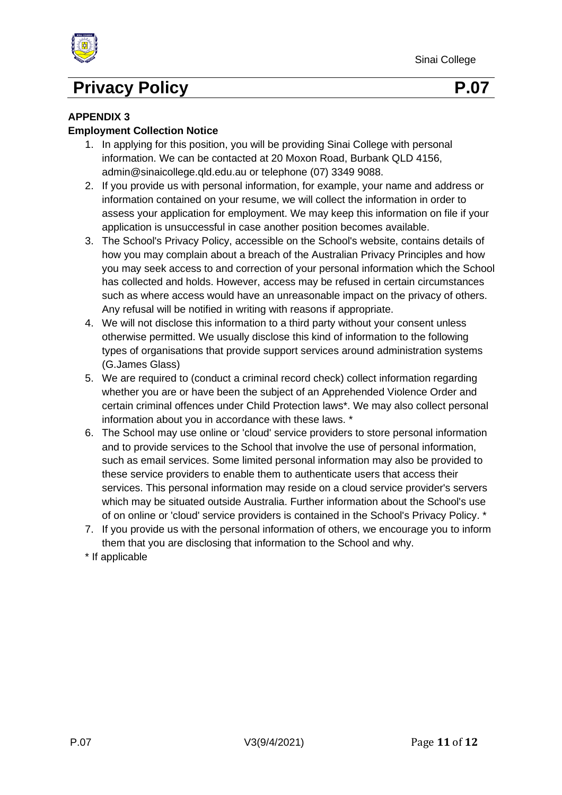

#### **APPENDIX 3**

#### **Employment Collection Notice**

- 1. In applying for this position, you will be providing Sinai College with personal information. We can be contacted at 20 Moxon Road, Burbank QLD 4156, admin@sinaicollege.qld.edu.au or telephone (07) 3349 9088.
- 2. If you provide us with personal information, for example, your name and address or information contained on your resume, we will collect the information in order to assess your application for employment. We may keep this information on file if your application is unsuccessful in case another position becomes available.
- 3. The School's Privacy Policy, accessible on the School's website, contains details of how you may complain about a breach of the Australian Privacy Principles and how you may seek access to and correction of your personal information which the School has collected and holds. However, access may be refused in certain circumstances such as where access would have an unreasonable impact on the privacy of others. Any refusal will be notified in writing with reasons if appropriate.
- 4. We will not disclose this information to a third party without your consent unless otherwise permitted. We usually disclose this kind of information to the following types of organisations that provide support services around administration systems (G.James Glass)
- 5. We are required to (conduct a criminal record check) collect information regarding whether you are or have been the subject of an Apprehended Violence Order and certain criminal offences under Child Protection laws\*. We may also collect personal information about you in accordance with these laws. \*
- 6. The School may use online or 'cloud' service providers to store personal information and to provide services to the School that involve the use of personal information, such as email services. Some limited personal information may also be provided to these service providers to enable them to authenticate users that access their services. This personal information may reside on a cloud service provider's servers which may be situated outside Australia. Further information about the School's use of on online or 'cloud' service providers is contained in the School's Privacy Policy. \*
- 7. If you provide us with the personal information of others, we encourage you to inform them that you are disclosing that information to the School and why.
- \* If applicable